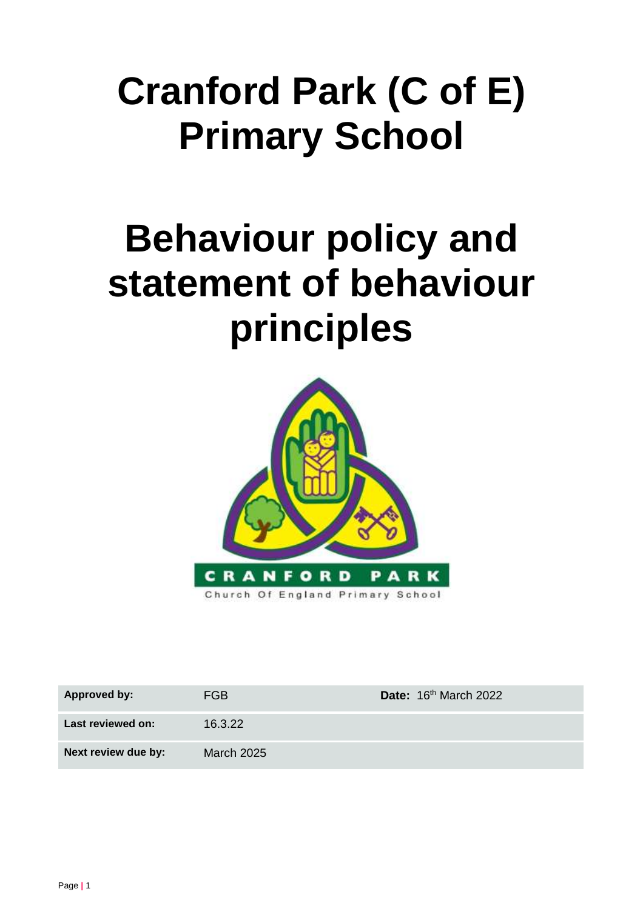# **Cranford Park (C of E) Primary School**

# **Behaviour policy and statement of behaviour principles**



| <b>Approved by:</b> | FGB               | Date: 16th March 2022 |
|---------------------|-------------------|-----------------------|
| Last reviewed on:   | 16.3.22           |                       |
| Next review due by: | <b>March 2025</b> |                       |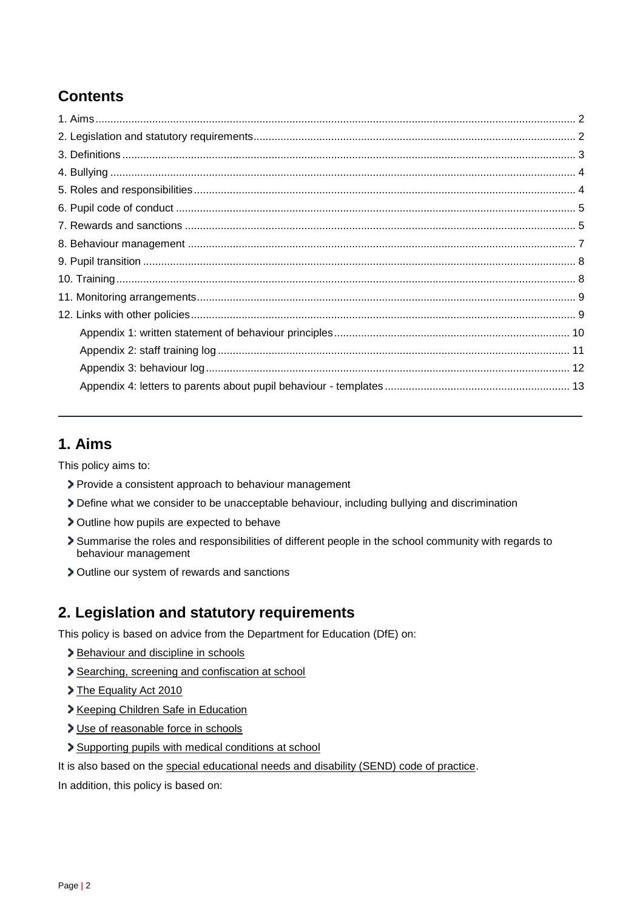# **Contents**

# <span id="page-1-0"></span>**1. Aims**

This policy aims to:

- Provide a consistent approach to behaviour management
- Define what we consider to be unacceptable behaviour, including bullying and discrimination
- Outline how pupils are expected to behave
- Summarise the roles and responsibilities of different people in the school community with regards to behaviour management
- Outline our system of rewards and sanctions

## <span id="page-1-1"></span>**2. Legislation and statutory requirements**

This policy is based on advice from the Department for Education (DfE) on:

- > [Behaviour and discipline in schools](https://www.gov.uk/government/publications/behaviour-and-discipline-in-schools)
- [Searching, screening and confiscation at school](https://www.gov.uk/government/publications/searching-screening-and-confiscation)
- > [The Equality Act 2010](https://www.gov.uk/government/publications/equality-act-2010-advice-for-schools)
- [Keeping Children Safe in Education](https://www.gov.uk/government/publications/keeping-children-safe-in-education--2)
- [Use of reasonable force in schools](https://www.gov.uk/government/publications/use-of-reasonable-force-in-schools)
- [Supporting pupils with medical conditions at school](https://www.gov.uk/government/publications/supporting-pupils-at-school-with-medical-conditions--3)
- It is also based on the [special educational needs and disability \(SEND\) code of practice.](https://www.gov.uk/government/publications/send-code-of-practice-0-to-25)

In addition, this policy is based on: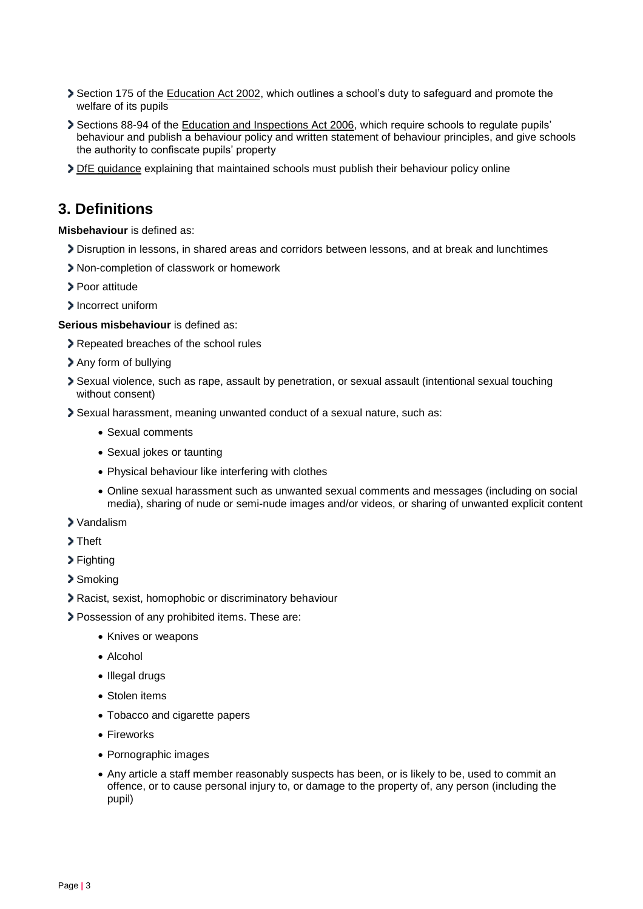- Section 175 of the [Education Act 2002,](http://www.legislation.gov.uk/ukpga/2002/32/section/175) which outlines a school's duty to safeguard and promote the welfare of its pupils
- Sections 88-94 of the [Education and Inspections Act 2006,](http://www.legislation.gov.uk/ukpga/2006/40/section/88) which require schools to regulate pupils' behaviour and publish a behaviour policy and written statement of behaviour principles, and give schools the authority to confiscate pupils' property
- > [DfE guidance](https://www.gov.uk/guidance/what-maintained-schools-must-publish-online#behaviour-policy) explaining that maintained schools must publish their behaviour policy online

## <span id="page-2-0"></span>**3. Definitions**

**Misbehaviour** is defined as:

- Disruption in lessons, in shared areas and corridors between lessons, and at break and lunchtimes
- Non-completion of classwork or homework
- > Poor attitude
- > Incorrect uniform

**Serious misbehaviour** is defined as:

- **>** Repeated breaches of the school rules
- Any form of bullying
- Sexual violence, such as rape, assault by penetration, or sexual assault (intentional sexual touching without consent)
- Sexual harassment, meaning unwanted conduct of a sexual nature, such as:
	- Sexual comments
	- Sexual jokes or taunting
	- Physical behaviour like interfering with clothes
	- Online sexual harassment such as unwanted sexual comments and messages (including on social media), sharing of nude or semi-nude images and/or videos, or sharing of unwanted explicit content
- Vandalism
- > Theft
- > Fighting
- > Smoking
- Racist, sexist, homophobic or discriminatory behaviour
- Possession of any prohibited items. These are:
	- Knives or weapons
	- Alcohol
	- Illegal drugs
	- Stolen items
	- Tobacco and cigarette papers
	- Fireworks
	- Pornographic images
	- Any article a staff member reasonably suspects has been, or is likely to be, used to commit an offence, or to cause personal injury to, or damage to the property of, any person (including the pupil)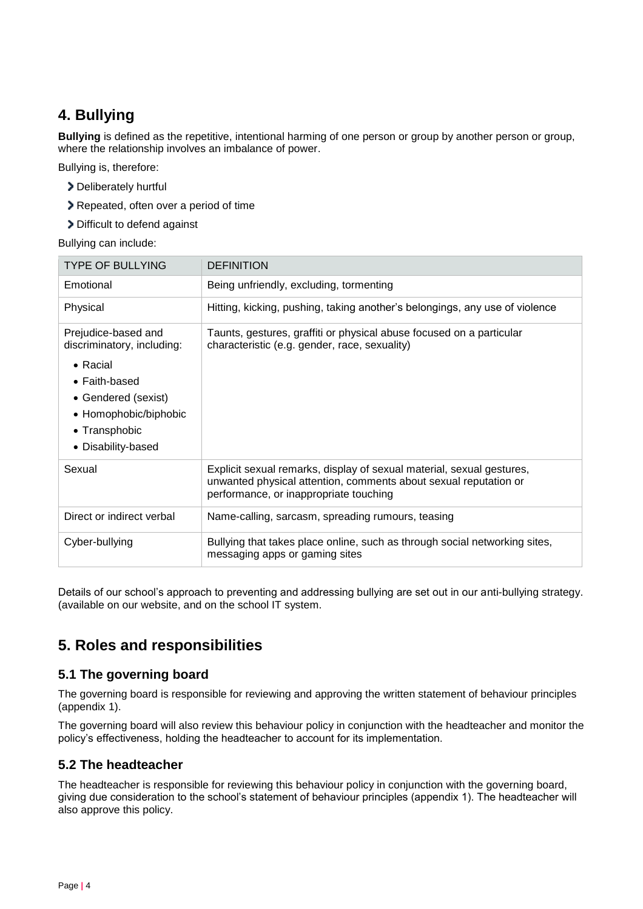# <span id="page-3-0"></span>**4. Bullying**

**Bullying** is defined as the repetitive, intentional harming of one person or group by another person or group, where the relationship involves an imbalance of power.

Bullying is, therefore:

- Deliberately hurtful
- Repeated, often over a period of time
- > Difficult to defend against

Bullying can include:

| <b>TYPE OF BULLYING</b>                                                                                                                                                       | <b>DEFINITION</b>                                                                                                                                                                   |
|-------------------------------------------------------------------------------------------------------------------------------------------------------------------------------|-------------------------------------------------------------------------------------------------------------------------------------------------------------------------------------|
| Emotional                                                                                                                                                                     | Being unfriendly, excluding, tormenting                                                                                                                                             |
| Physical                                                                                                                                                                      | Hitting, kicking, pushing, taking another's belongings, any use of violence                                                                                                         |
| Prejudice-based and<br>discriminatory, including:<br>• Racial<br>$\bullet$ Faith-based<br>• Gendered (sexist)<br>• Homophobic/biphobic<br>• Transphobic<br>• Disability-based | Taunts, gestures, graffiti or physical abuse focused on a particular<br>characteristic (e.g. gender, race, sexuality)                                                               |
| Sexual                                                                                                                                                                        | Explicit sexual remarks, display of sexual material, sexual gestures,<br>unwanted physical attention, comments about sexual reputation or<br>performance, or inappropriate touching |
| Direct or indirect verbal                                                                                                                                                     | Name-calling, sarcasm, spreading rumours, teasing                                                                                                                                   |
| Cyber-bullying                                                                                                                                                                | Bullying that takes place online, such as through social networking sites,<br>messaging apps or gaming sites                                                                        |

Details of our school's approach to preventing and addressing bullying are set out in our anti-bullying strategy. (available on our website, and on the school IT system.

# <span id="page-3-1"></span>**5. Roles and responsibilities**

## **5.1 The governing board**

The governing board is responsible for reviewing and approving the written statement of behaviour principles (appendix 1).

The governing board will also review this behaviour policy in conjunction with the headteacher and monitor the policy's effectiveness, holding the headteacher to account for its implementation.

## **5.2 The headteacher**

The headteacher is responsible for reviewing this behaviour policy in conjunction with the governing board, giving due consideration to the school's statement of behaviour principles (appendix 1). The headteacher will also approve this policy.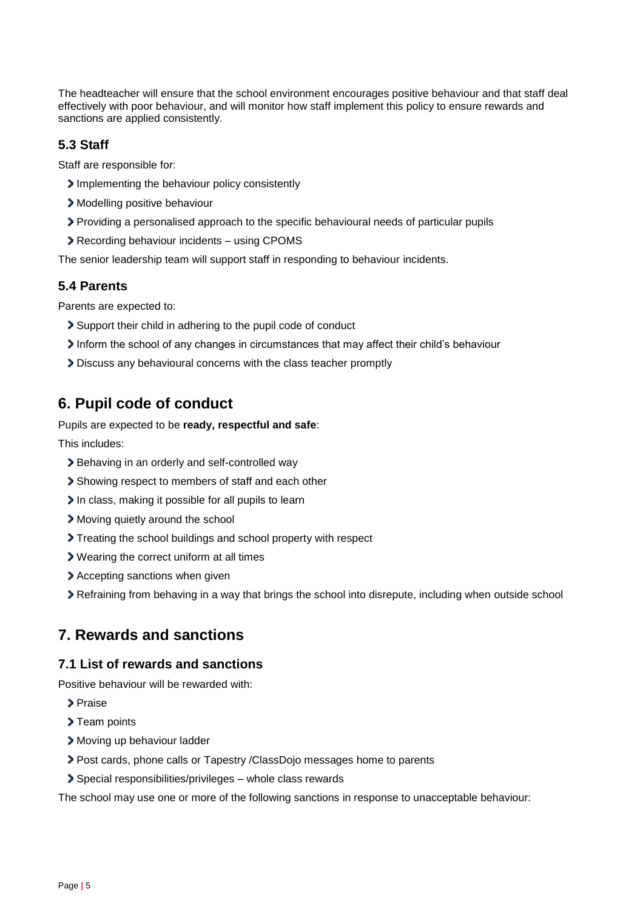The headteacher will ensure that the school environment encourages positive behaviour and that staff deal effectively with poor behaviour, and will monitor how staff implement this policy to ensure rewards and sanctions are applied consistently.

## **5.3 Staff**

Staff are responsible for:

- Implementing the behaviour policy consistently
- > Modelling positive behaviour
- Providing a personalised approach to the specific behavioural needs of particular pupils
- Recording behaviour incidents using CPOMS

The senior leadership team will support staff in responding to behaviour incidents.

### **5.4 Parents**

Parents are expected to:

- Support their child in adhering to the pupil code of conduct
- Inform the school of any changes in circumstances that may affect their child's behaviour
- Discuss any behavioural concerns with the class teacher promptly

# <span id="page-4-0"></span>**6. Pupil code of conduct**

Pupils are expected to be **ready, respectful and safe**:

This includes:

- Behaving in an orderly and self-controlled way
- Showing respect to members of staff and each other
- In class, making it possible for all pupils to learn
- Moving quietly around the school
- Treating the school buildings and school property with respect
- Wearing the correct uniform at all times
- Accepting sanctions when given
- Refraining from behaving in a way that brings the school into disrepute, including when outside school

# <span id="page-4-1"></span>**7. Rewards and sanctions**

#### **7.1 List of rewards and sanctions**

Positive behaviour will be rewarded with:

- > Praise
- > Team points
- > Moving up behaviour ladder
- Post cards, phone calls or Tapestry /ClassDojo messages home to parents
- Special responsibilities/privileges whole class rewards

The school may use one or more of the following sanctions in response to unacceptable behaviour: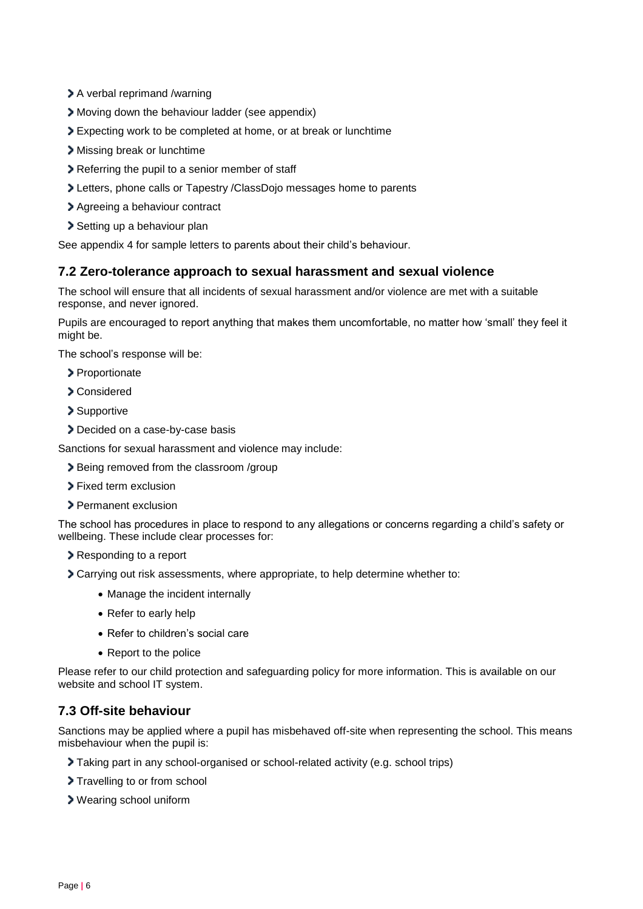- > A verbal reprimand /warning
- Moving down the behaviour ladder (see appendix)
- Expecting work to be completed at home, or at break or lunchtime
- Missing break or lunchtime
- Referring the pupil to a senior member of staff
- Letters, phone calls or Tapestry /ClassDojo messages home to parents
- Agreeing a behaviour contract
- > Setting up a behaviour plan

See appendix 4 for sample letters to parents about their child's behaviour.

### **7.2 Zero-tolerance approach to sexual harassment and sexual violence**

The school will ensure that all incidents of sexual harassment and/or violence are met with a suitable response, and never ignored.

Pupils are encouraged to report anything that makes them uncomfortable, no matter how 'small' they feel it might be.

The school's response will be:

- > Proportionate
- Considered
- > Supportive
- Decided on a case-by-case basis

Sanctions for sexual harassment and violence may include:

- Being removed from the classroom /group
- > Fixed term exclusion
- > Permanent exclusion

The school has procedures in place to respond to any allegations or concerns regarding a child's safety or wellbeing. These include clear processes for:

- Responding to a report
- Carrying out risk assessments, where appropriate, to help determine whether to:
	- Manage the incident internally
	- Refer to early help
	- Refer to children's social care
	- Report to the police

Please refer to our child protection and safeguarding policy for more information. This is available on our website and school IT system.

## **7.3 Off-site behaviour**

Sanctions may be applied where a pupil has misbehaved off-site when representing the school. This means misbehaviour when the pupil is:

- Taking part in any school-organised or school-related activity (e.g. school trips)
- > Travelling to or from school
- Wearing school uniform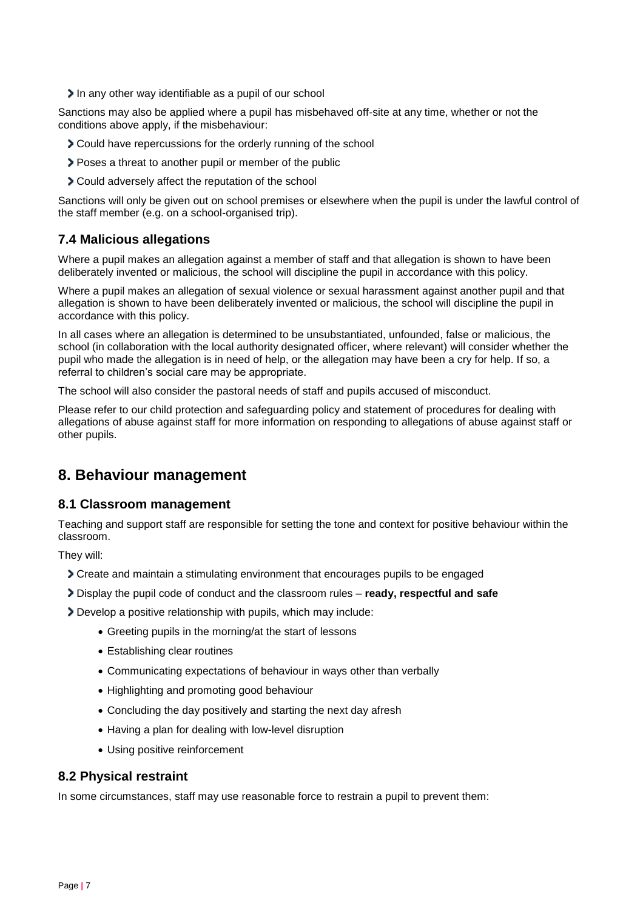In any other way identifiable as a pupil of our school

Sanctions may also be applied where a pupil has misbehaved off-site at any time, whether or not the conditions above apply, if the misbehaviour:

- Could have repercussions for the orderly running of the school
- Poses a threat to another pupil or member of the public
- Could adversely affect the reputation of the school

Sanctions will only be given out on school premises or elsewhere when the pupil is under the lawful control of the staff member (e.g. on a school-organised trip).

## **7.4 Malicious allegations**

Where a pupil makes an allegation against a member of staff and that allegation is shown to have been deliberately invented or malicious, the school will discipline the pupil in accordance with this policy.

Where a pupil makes an allegation of sexual violence or sexual harassment against another pupil and that allegation is shown to have been deliberately invented or malicious, the school will discipline the pupil in accordance with this policy.

In all cases where an allegation is determined to be unsubstantiated, unfounded, false or malicious, the school (in collaboration with the local authority designated officer, where relevant) will consider whether the pupil who made the allegation is in need of help, or the allegation may have been a cry for help. If so, a referral to children's social care may be appropriate.

The school will also consider the pastoral needs of staff and pupils accused of misconduct.

Please refer to our child protection and safeguarding policy and statement of procedures for dealing with allegations of abuse against staff for more information on responding to allegations of abuse against staff or other pupils.

## <span id="page-6-0"></span>**8. Behaviour management**

#### **8.1 Classroom management**

Teaching and support staff are responsible for setting the tone and context for positive behaviour within the classroom.

They will:

- Create and maintain a stimulating environment that encourages pupils to be engaged
- Display the pupil code of conduct and the classroom rules **ready, respectful and safe**

Develop a positive relationship with pupils, which may include:

- Greeting pupils in the morning/at the start of lessons
- Establishing clear routines
- Communicating expectations of behaviour in ways other than verbally
- Highlighting and promoting good behaviour
- Concluding the day positively and starting the next day afresh
- Having a plan for dealing with low-level disruption
- Using positive reinforcement

#### **8.2 Physical restraint**

In some circumstances, staff may use reasonable force to restrain a pupil to prevent them: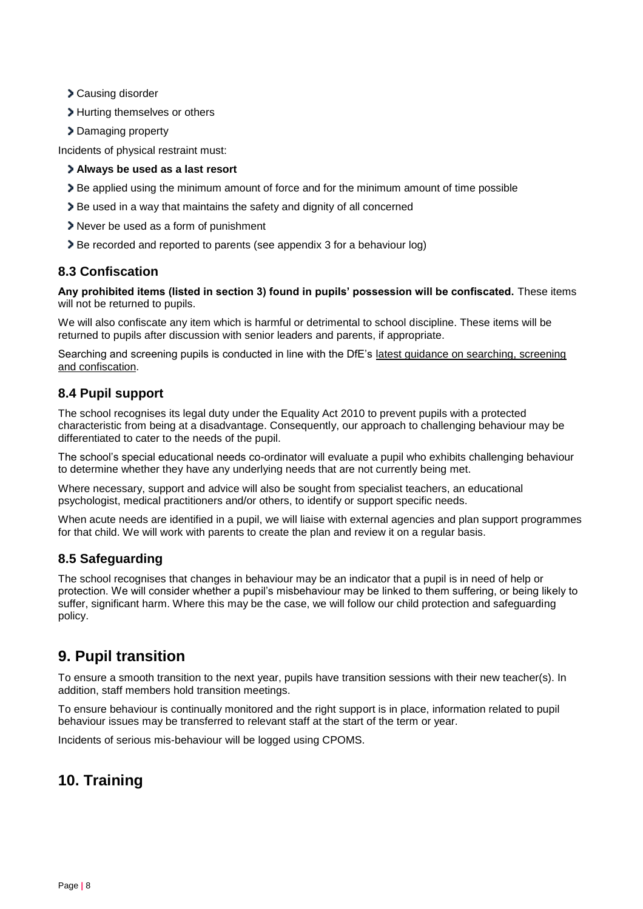- Causing disorder
- > Hurting themselves or others
- > Damaging property

Incidents of physical restraint must:

#### **Always be used as a last resort**

- Be applied using the minimum amount of force and for the minimum amount of time possible
- Be used in a way that maintains the safety and dignity of all concerned
- Never be used as a form of punishment
- Be recorded and reported to parents (see appendix 3 for a behaviour log)

## **8.3 Confiscation**

**Any prohibited items (listed in section 3) found in pupils' possession will be confiscated.** These items will not be returned to pupils.

We will also confiscate any item which is harmful or detrimental to school discipline. These items will be returned to pupils after discussion with senior leaders and parents, if appropriate.

Searching and screening pupils is conducted in line with the DfE's [latest guidance on searching, screening](https://www.gov.uk/government/publications/searching-screening-and-confiscation)  [and confiscation.](https://www.gov.uk/government/publications/searching-screening-and-confiscation)

## **8.4 Pupil support**

The school recognises its legal duty under the Equality Act 2010 to prevent pupils with a protected characteristic from being at a disadvantage. Consequently, our approach to challenging behaviour may be differentiated to cater to the needs of the pupil.

The school's special educational needs co-ordinator will evaluate a pupil who exhibits challenging behaviour to determine whether they have any underlying needs that are not currently being met.

Where necessary, support and advice will also be sought from specialist teachers, an educational psychologist, medical practitioners and/or others, to identify or support specific needs.

When acute needs are identified in a pupil, we will liaise with external agencies and plan support programmes for that child. We will work with parents to create the plan and review it on a regular basis.

## **8.5 Safeguarding**

The school recognises that changes in behaviour may be an indicator that a pupil is in need of help or protection. We will consider whether a pupil's misbehaviour may be linked to them suffering, or being likely to suffer, significant harm. Where this may be the case, we will follow our child protection and safeguarding policy.

# <span id="page-7-0"></span>**9. Pupil transition**

To ensure a smooth transition to the next year, pupils have transition sessions with their new teacher(s). In addition, staff members hold transition meetings.

To ensure behaviour is continually monitored and the right support is in place, information related to pupil behaviour issues may be transferred to relevant staff at the start of the term or year.

Incidents of serious mis-behaviour will be logged using CPOMS.

# <span id="page-7-1"></span>**10. Training**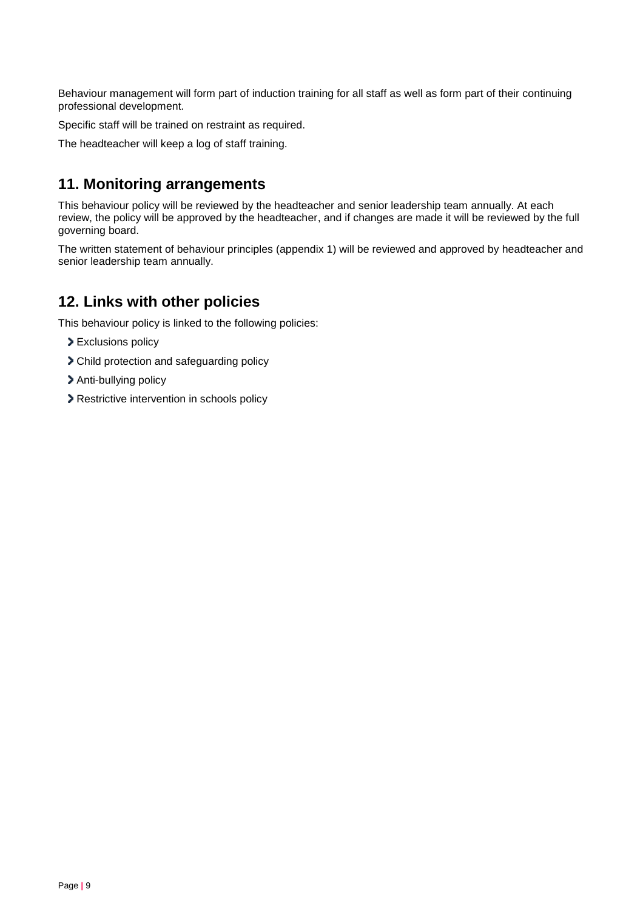Behaviour management will form part of induction training for all staff as well as form part of their continuing professional development.

Specific staff will be trained on restraint as required.

The headteacher will keep a log of staff training.

# <span id="page-8-0"></span>**11. Monitoring arrangements**

This behaviour policy will be reviewed by the headteacher and senior leadership team annually. At each review, the policy will be approved by the headteacher, and if changes are made it will be reviewed by the full governing board.

The written statement of behaviour principles (appendix 1) will be reviewed and approved by headteacher and senior leadership team annually.

# <span id="page-8-1"></span>**12. Links with other policies**

This behaviour policy is linked to the following policies:

- Exclusions policy
- Child protection and safeguarding policy
- > Anti-bullying policy
- Restrictive intervention in schools policy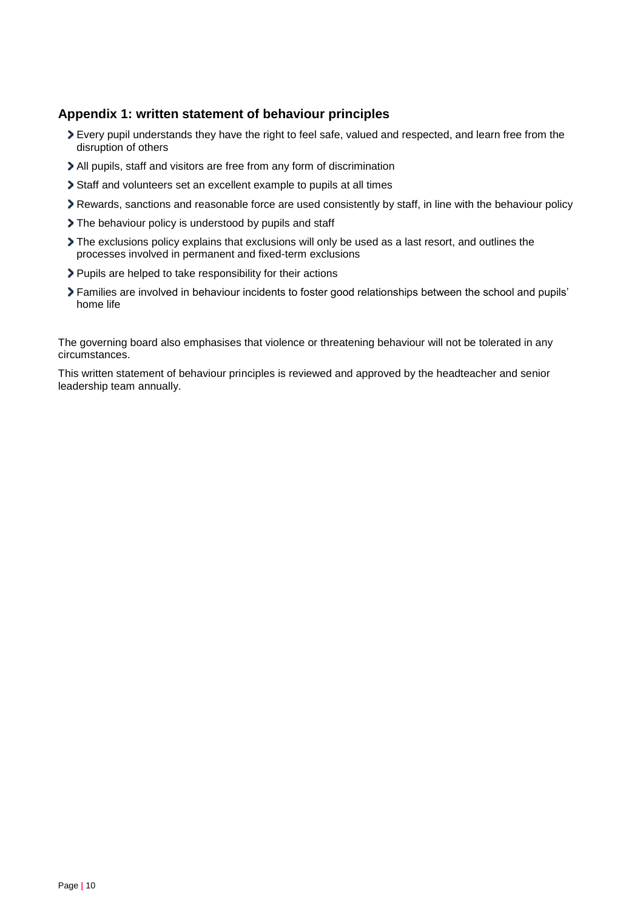## <span id="page-9-0"></span>**Appendix 1: written statement of behaviour principles**

- Every pupil understands they have the right to feel safe, valued and respected, and learn free from the disruption of others
- All pupils, staff and visitors are free from any form of discrimination
- Staff and volunteers set an excellent example to pupils at all times
- Rewards, sanctions and reasonable force are used consistently by staff, in line with the behaviour policy
- The behaviour policy is understood by pupils and staff
- The exclusions policy explains that exclusions will only be used as a last resort, and outlines the processes involved in permanent and fixed-term exclusions
- Pupils are helped to take responsibility for their actions
- Families are involved in behaviour incidents to foster good relationships between the school and pupils' home life

The governing board also emphasises that violence or threatening behaviour will not be tolerated in any circumstances.

This written statement of behaviour principles is reviewed and approved by the headteacher and senior leadership team annually.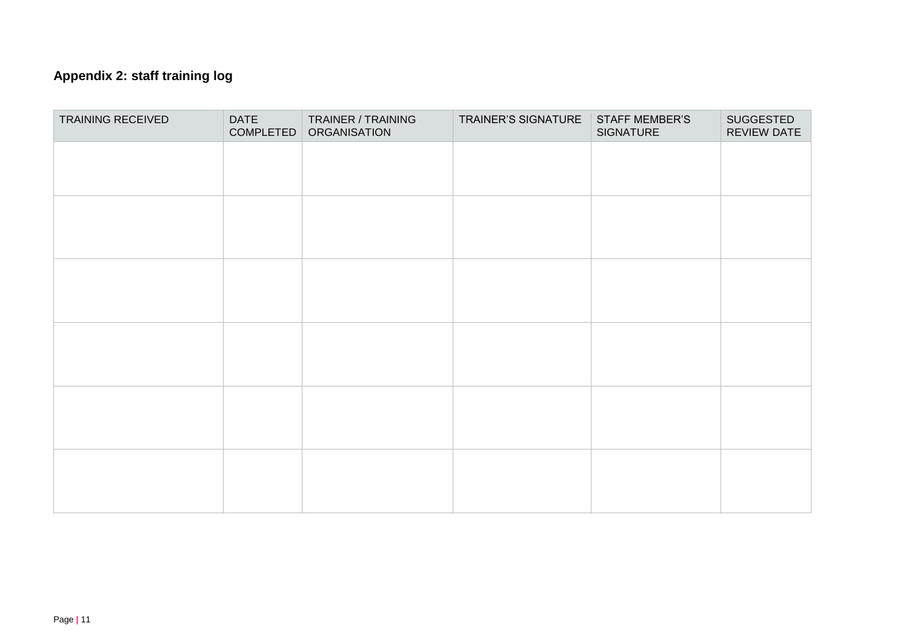# **Appendix 2: staff training log**

<span id="page-10-0"></span>

| TRAINING RECEIVED | <b>DATE</b><br>COMPLETED | TRAINER / TRAINING<br><b>ORGANISATION</b> | TRAINER'S SIGNATURE | <b>STAFF MEMBER'S</b><br>SIGNATURE | SUGGESTED<br>REVIEW DATE |
|-------------------|--------------------------|-------------------------------------------|---------------------|------------------------------------|--------------------------|
|                   |                          |                                           |                     |                                    |                          |
|                   |                          |                                           |                     |                                    |                          |
|                   |                          |                                           |                     |                                    |                          |
|                   |                          |                                           |                     |                                    |                          |
|                   |                          |                                           |                     |                                    |                          |
|                   |                          |                                           |                     |                                    |                          |
|                   |                          |                                           |                     |                                    |                          |
|                   |                          |                                           |                     |                                    |                          |
|                   |                          |                                           |                     |                                    |                          |
|                   |                          |                                           |                     |                                    |                          |
|                   |                          |                                           |                     |                                    |                          |
|                   |                          |                                           |                     |                                    |                          |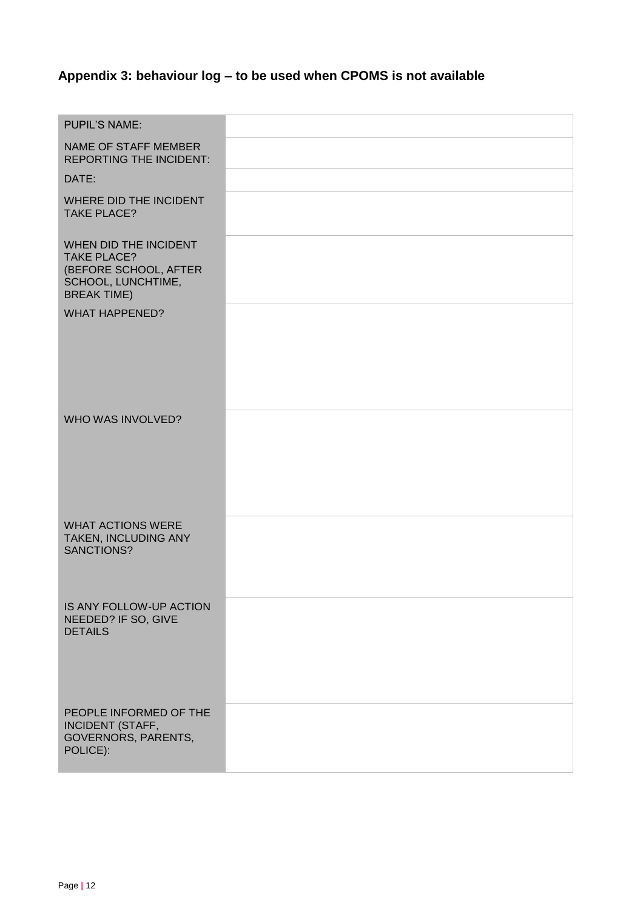# <span id="page-11-0"></span>**Appendix 3: behaviour log – to be used when CPOMS is not available**

| <b>PUPIL'S NAME:</b>                                                                                             |  |
|------------------------------------------------------------------------------------------------------------------|--|
| <b>NAME OF STAFF MEMBER</b><br><b>REPORTING THE INCIDENT:</b>                                                    |  |
| DATE:                                                                                                            |  |
| WHERE DID THE INCIDENT<br><b>TAKE PLACE?</b>                                                                     |  |
| WHEN DID THE INCIDENT<br><b>TAKE PLACE?</b><br>(BEFORE SCHOOL, AFTER<br>SCHOOL, LUNCHTIME,<br><b>BREAK TIME)</b> |  |
| <b>WHAT HAPPENED?</b>                                                                                            |  |
| WHO WAS INVOLVED?                                                                                                |  |
| <b>WHAT ACTIONS WERE</b><br>TAKEN, INCLUDING ANY<br>SANCTIONS?                                                   |  |
| IS ANY FOLLOW-UP ACTION<br>NEEDED? IF SO, GIVE<br><b>DETAILS</b>                                                 |  |
| PEOPLE INFORMED OF THE<br><b>INCIDENT (STAFF,</b><br><b>GOVERNORS, PARENTS,</b><br>POLICE):                      |  |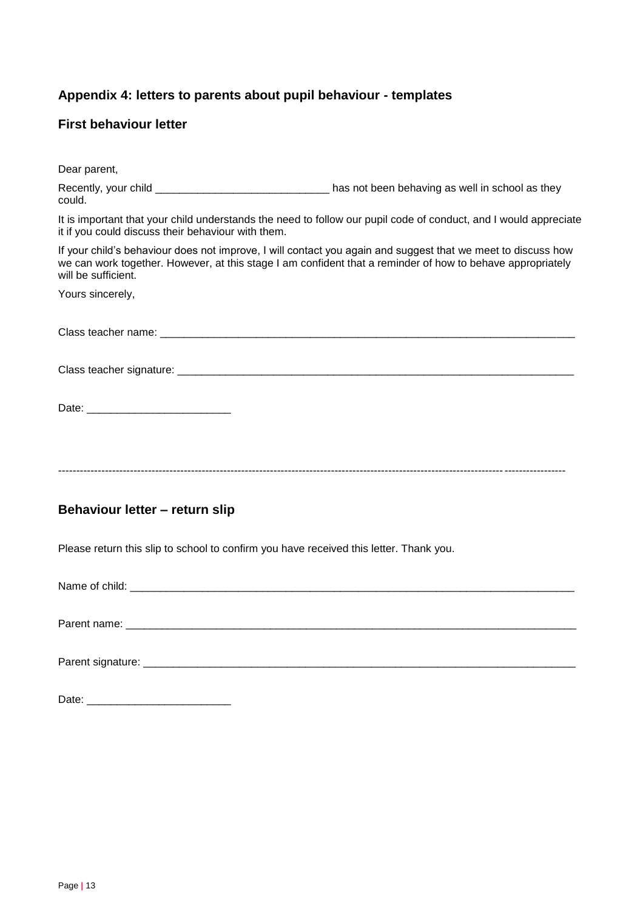# <span id="page-12-0"></span>**Appendix 4: letters to parents about pupil behaviour - templates**

## **First behaviour letter**

| Dear parent,                                                                                                                                                                                                                         |                                                                                                                                                                                                                            |  |
|--------------------------------------------------------------------------------------------------------------------------------------------------------------------------------------------------------------------------------------|----------------------------------------------------------------------------------------------------------------------------------------------------------------------------------------------------------------------------|--|
| could.                                                                                                                                                                                                                               | Recently, your child __________________________________ has not been behaving as well in school as they                                                                                                                    |  |
| It is important that your child understands the need to follow our pupil code of conduct, and I would appreciate<br>it if you could discuss their behaviour with them.                                                               |                                                                                                                                                                                                                            |  |
| will be sufficient.                                                                                                                                                                                                                  | If your child's behaviour does not improve, I will contact you again and suggest that we meet to discuss how<br>we can work together. However, at this stage I am confident that a reminder of how to behave appropriately |  |
| Yours sincerely,                                                                                                                                                                                                                     |                                                                                                                                                                                                                            |  |
|                                                                                                                                                                                                                                      |                                                                                                                                                                                                                            |  |
|                                                                                                                                                                                                                                      |                                                                                                                                                                                                                            |  |
|                                                                                                                                                                                                                                      |                                                                                                                                                                                                                            |  |
|                                                                                                                                                                                                                                      |                                                                                                                                                                                                                            |  |
|                                                                                                                                                                                                                                      |                                                                                                                                                                                                                            |  |
| Behaviour letter - return slip                                                                                                                                                                                                       |                                                                                                                                                                                                                            |  |
| Please return this slip to school to confirm you have received this letter. Thank you.                                                                                                                                               |                                                                                                                                                                                                                            |  |
| Name of child: <u>example and contract and contract and contract and contract and contract and contract and contract and contract and contract and contract and contract and contract and contract and contract and contract and</u> |                                                                                                                                                                                                                            |  |
|                                                                                                                                                                                                                                      |                                                                                                                                                                                                                            |  |
|                                                                                                                                                                                                                                      |                                                                                                                                                                                                                            |  |
|                                                                                                                                                                                                                                      |                                                                                                                                                                                                                            |  |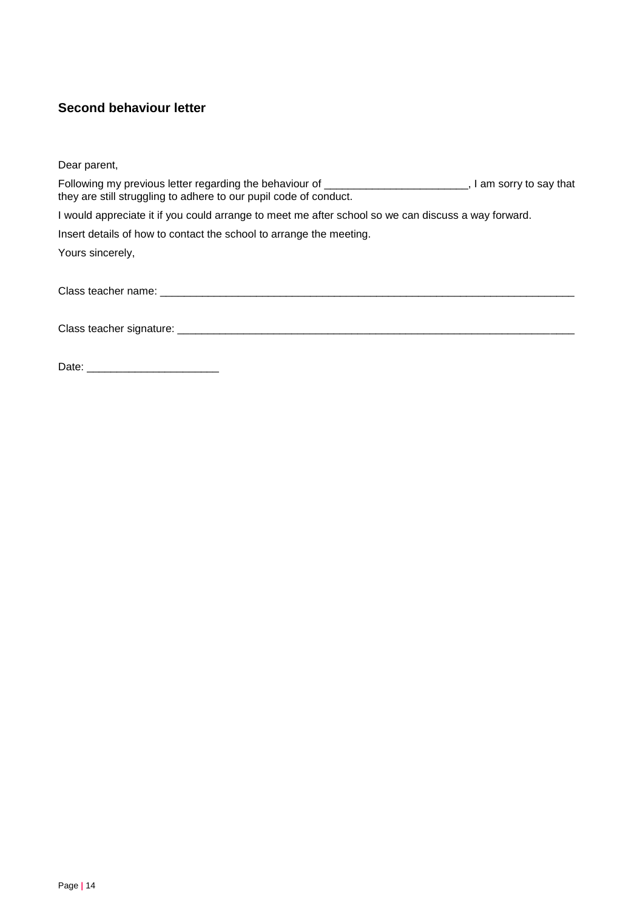## **Second behaviour letter**

Dear parent,

| Following my previous letter regarding the behaviour of ________________________<br>they are still struggling to adhere to our pupil code of conduct.                                                                          | I am sorry to say that |
|--------------------------------------------------------------------------------------------------------------------------------------------------------------------------------------------------------------------------------|------------------------|
| I would appreciate it if you could arrange to meet me after school so we can discuss a way forward.                                                                                                                            |                        |
| Insert details of how to contact the school to arrange the meeting.                                                                                                                                                            |                        |
| Yours sincerely,                                                                                                                                                                                                               |                        |
| Class teacher name: example a state of the state of the state of the state of the state of the state of the state of the state of the state of the state of the state of the state of the state of the state of the state of t |                        |
|                                                                                                                                                                                                                                |                        |
|                                                                                                                                                                                                                                |                        |

Date: \_\_\_\_\_\_\_\_\_\_\_\_\_\_\_\_\_\_\_\_\_\_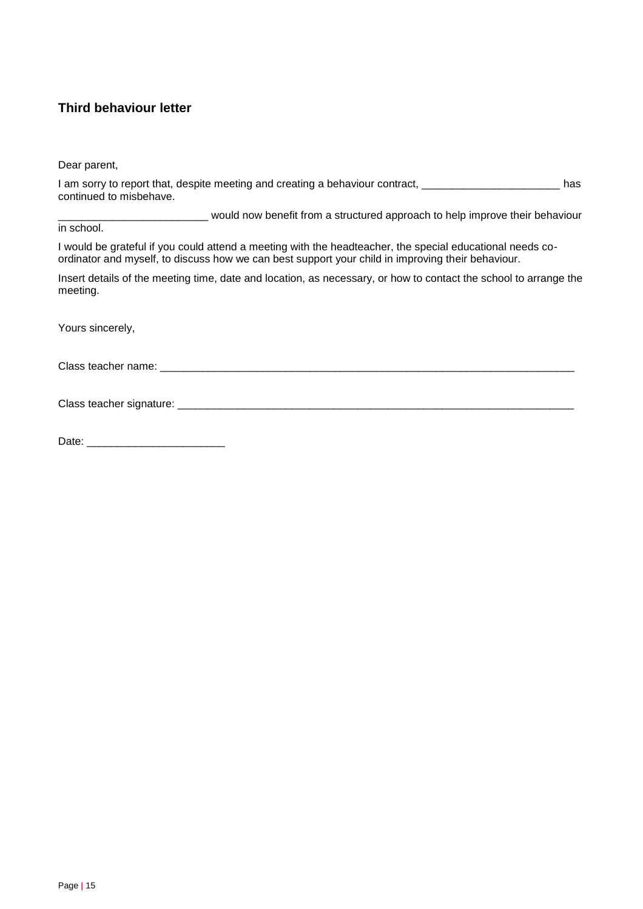## **Third behaviour letter**

Dear parent,

| I am sorry to report that, despite meeting and creating a behaviour contract, | has |
|-------------------------------------------------------------------------------|-----|
| continued to misbehave.                                                       |     |

\_\_\_\_\_\_\_\_\_\_\_\_\_\_\_\_\_\_\_\_\_\_\_\_\_ would now benefit from a structured approach to help improve their behaviour

in school.

I would be grateful if you could attend a meeting with the headteacher, the special educational needs coordinator and myself, to discuss how we can best support your child in improving their behaviour.

Insert details of the meeting time, date and location, as necessary, or how to contact the school to arrange the meeting.

Yours sincerely,

Class teacher name: \_\_\_\_\_\_\_\_\_\_\_\_\_\_\_\_\_\_\_\_\_\_\_\_\_\_\_\_\_\_\_\_\_\_\_\_\_\_\_\_\_\_\_\_\_\_\_\_\_\_\_\_\_\_\_\_\_\_\_\_\_\_\_\_\_\_\_\_\_

Class teacher signature: \_\_\_\_\_\_\_\_\_\_\_\_\_\_\_\_\_\_\_\_\_\_\_\_\_\_\_\_\_\_\_\_\_\_\_\_\_\_\_\_\_\_\_\_\_\_\_\_\_\_\_\_\_\_\_\_\_\_\_\_\_\_\_\_\_\_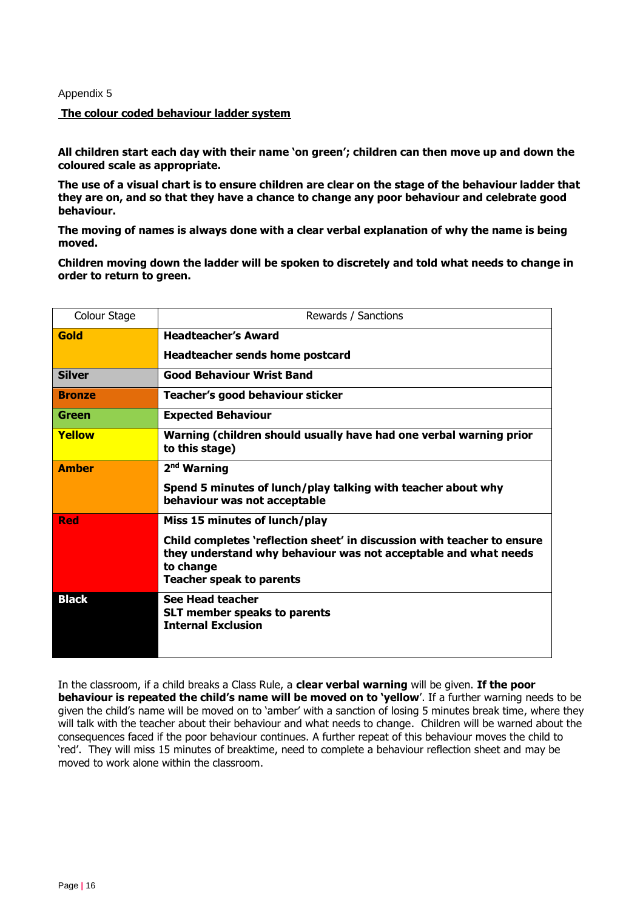#### Appendix 5

#### **The colour coded behaviour ladder system**

**All children start each day with their name 'on green'; children can then move up and down the coloured scale as appropriate.** 

**The use of a visual chart is to ensure children are clear on the stage of the behaviour ladder that they are on, and so that they have a chance to change any poor behaviour and celebrate good behaviour.** 

**The moving of names is always done with a clear verbal explanation of why the name is being moved.**

**Children moving down the ladder will be spoken to discretely and told what needs to change in order to return to green.**

| Colour Stage  | Rewards / Sanctions                                                                                                                                                                        |
|---------------|--------------------------------------------------------------------------------------------------------------------------------------------------------------------------------------------|
| Gold          | <b>Headteacher's Award</b>                                                                                                                                                                 |
|               | <b>Headteacher sends home postcard</b>                                                                                                                                                     |
| <b>Silver</b> | <b>Good Behaviour Wrist Band</b>                                                                                                                                                           |
| <b>Bronze</b> | Teacher's good behaviour sticker                                                                                                                                                           |
| Green         | <b>Expected Behaviour</b>                                                                                                                                                                  |
| Yellow        | Warning (children should usually have had one verbal warning prior<br>to this stage)                                                                                                       |
| <b>Amber</b>  | 2 <sup>nd</sup> Warning                                                                                                                                                                    |
|               | Spend 5 minutes of lunch/play talking with teacher about why<br>behaviour was not acceptable                                                                                               |
| <b>Red</b>    | Miss 15 minutes of lunch/play                                                                                                                                                              |
|               | Child completes 'reflection sheet' in discussion with teacher to ensure<br>they understand why behaviour was not acceptable and what needs<br>to change<br><b>Teacher speak to parents</b> |
| <b>Black</b>  | See Head teacher<br><b>SLT member speaks to parents</b><br><b>Internal Exclusion</b>                                                                                                       |

In the classroom, if a child breaks a Class Rule, a **clear verbal warning** will be given. **If the poor behaviour is repeated the child's name will be moved on to 'yellow**'. If a further warning needs to be given the child's name will be moved on to 'amber' with a sanction of losing 5 minutes break time, where they will talk with the teacher about their behaviour and what needs to change. Children will be warned about the consequences faced if the poor behaviour continues. A further repeat of this behaviour moves the child to 'red'. They will miss 15 minutes of breaktime, need to complete a behaviour reflection sheet and may be moved to work alone within the classroom.